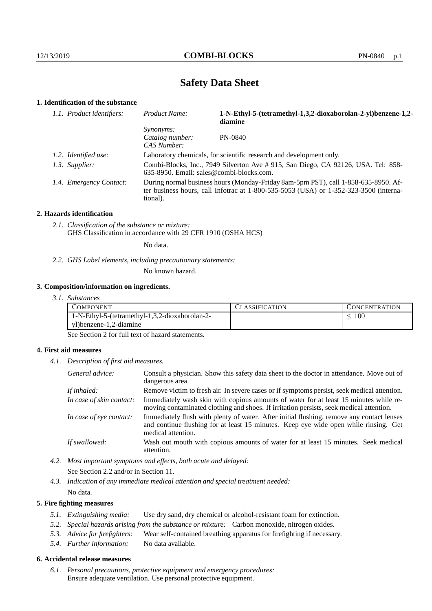# **Safety Data Sheet**

# **1. Identification of the substance**

| 1.1. Product identifiers: | Product Name:                                                                                                                                                                           | 1-N-Ethyl-5-(tetramethyl-1,3,2-dioxaborolan-2-yl)benzene-1,2-<br>diamine |
|---------------------------|-----------------------------------------------------------------------------------------------------------------------------------------------------------------------------------------|--------------------------------------------------------------------------|
|                           | <i>Synonyms:</i><br>Catalog number:<br>CAS Number:                                                                                                                                      | PN-0840                                                                  |
| 1.2. Identified use:      | Laboratory chemicals, for scientific research and development only.                                                                                                                     |                                                                          |
| 1.3. Supplier:            | Combi-Blocks, Inc., 7949 Silverton Ave # 915, San Diego, CA 92126, USA. Tel: 858-<br>$635-8950$ . Email: sales@combi-blocks.com.                                                        |                                                                          |
| 1.4. Emergency Contact:   | During normal business hours (Monday-Friday 8am-5pm PST), call 1-858-635-8950. Af-<br>ter business hours, call Infotrac at 1-800-535-5053 (USA) or 1-352-323-3500 (interna-<br>tional). |                                                                          |

#### **2. Hazards identification**

*2.1. Classification of the substance or mixture:* GHS Classification in accordance with 29 CFR 1910 (OSHA HCS)

No data.

## *2.2. GHS Label elements, including precautionary statements:*

No known hazard.

### **3. Composition/information on ingredients.**

*3.1. Substances*

| COMPONENT                                      | LASSIFICATION | CONCENTRATION |
|------------------------------------------------|---------------|---------------|
| 1-N-Ethyl-5-(tetramethyl-1,3,2-dioxaborolan-2- |               | 100           |
| yl)benzene-1,2-diamine                         |               |               |

See Section 2 for full text of hazard statements.

## **4. First aid measures**

*4.1. Description of first aid measures.*

| General advice:          | Consult a physician. Show this safety data sheet to the doctor in attendance. Move out of<br>dangerous area.                                                                                            |
|--------------------------|---------------------------------------------------------------------------------------------------------------------------------------------------------------------------------------------------------|
| If inhaled:              | Remove victim to fresh air. In severe cases or if symptoms persist, seek medical attention.                                                                                                             |
| In case of skin contact: | Immediately wash skin with copious amounts of water for at least 15 minutes while re-<br>moving contaminated clothing and shoes. If irritation persists, seek medical attention.                        |
| In case of eye contact:  | Immediately flush with plenty of water. After initial flushing, remove any contact lenses<br>and continue flushing for at least 15 minutes. Keep eye wide open while rinsing. Get<br>medical attention. |
| If swallowed:            | Wash out mouth with copious amounts of water for at least 15 minutes. Seek medical<br>attention.                                                                                                        |

*4.2. Most important symptoms and effects, both acute and delayed:* See Section 2.2 and/or in Section 11.

*4.3. Indication of any immediate medical attention and special treatment needed:* No data.

## **5. Fire fighting measures**

- *5.1. Extinguishing media:* Use dry sand, dry chemical or alcohol-resistant foam for extinction.
- *5.2. Special hazards arising from the substance or mixture:* Carbon monoxide, nitrogen oxides.
- *5.3. Advice for firefighters:* Wear self-contained breathing apparatus for firefighting if necessary.
- *5.4. Further information:* No data available.

## **6. Accidental release measures**

*6.1. Personal precautions, protective equipment and emergency procedures:* Ensure adequate ventilation. Use personal protective equipment.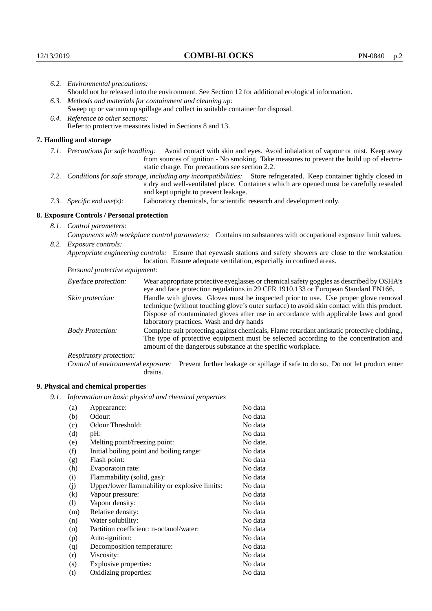|                                   | 6.2. Environmental precautions:                                                                               |                                                                                                                                                                                                                                                                            |  |  |  |
|-----------------------------------|---------------------------------------------------------------------------------------------------------------|----------------------------------------------------------------------------------------------------------------------------------------------------------------------------------------------------------------------------------------------------------------------------|--|--|--|
|                                   | Should not be released into the environment. See Section 12 for additional ecological information.            |                                                                                                                                                                                                                                                                            |  |  |  |
|                                   | 6.3. Methods and materials for containment and cleaning up:                                                   |                                                                                                                                                                                                                                                                            |  |  |  |
|                                   | Sweep up or vacuum up spillage and collect in suitable container for disposal.                                |                                                                                                                                                                                                                                                                            |  |  |  |
| 6.4. Reference to other sections: |                                                                                                               |                                                                                                                                                                                                                                                                            |  |  |  |
|                                   | Refer to protective measures listed in Sections 8 and 13.                                                     |                                                                                                                                                                                                                                                                            |  |  |  |
|                                   | 7. Handling and storage                                                                                       |                                                                                                                                                                                                                                                                            |  |  |  |
|                                   |                                                                                                               | 7.1. Precautions for safe handling: Avoid contact with skin and eyes. Avoid inhalation of vapour or mist. Keep away<br>from sources of ignition - No smoking. Take measures to prevent the build up of electro-<br>static charge. For precautions see section 2.2.         |  |  |  |
|                                   |                                                                                                               | 7.2. Conditions for safe storage, including any incompatibilities: Store refrigerated. Keep container tightly closed in<br>a dry and well-ventilated place. Containers which are opened must be carefully resealed<br>and kept upright to prevent leakage.                 |  |  |  |
|                                   | 7.3. Specific end use(s):                                                                                     | Laboratory chemicals, for scientific research and development only.                                                                                                                                                                                                        |  |  |  |
|                                   | 8. Exposure Controls / Personal protection                                                                    |                                                                                                                                                                                                                                                                            |  |  |  |
|                                   | 8.1. Control parameters:                                                                                      |                                                                                                                                                                                                                                                                            |  |  |  |
|                                   | Components with workplace control parameters: Contains no substances with occupational exposure limit values. |                                                                                                                                                                                                                                                                            |  |  |  |
|                                   | 8.2. Exposure controls:                                                                                       |                                                                                                                                                                                                                                                                            |  |  |  |
|                                   |                                                                                                               | Appropriate engineering controls: Ensure that eyewash stations and safety showers are close to the workstation<br>location. Ensure adequate ventilation, especially in confined areas.                                                                                     |  |  |  |
|                                   | Personal protective equipment:                                                                                |                                                                                                                                                                                                                                                                            |  |  |  |
|                                   | Eye/face protection:                                                                                          | Wear appropriate protective eyeglasses or chemical safety goggles as described by OSHA's<br>eye and face protection regulations in 29 CFR 1910.133 or European Standard EN166.                                                                                             |  |  |  |
|                                   | Skin protection:                                                                                              | Handle with gloves. Gloves must be inspected prior to use. Use proper glove removal<br>technique (without touching glove's outer surface) to avoid skin contact with this product.<br>Dispose of contaminated gloves after use in accordance with applicable laws and good |  |  |  |

laboratory practices. Wash and dry hands Body Protection: Complete suit protecting against chemicals, Flame retardant antistatic protective clothing., The type of protective equipment must be selected according to the concentration and amount of the dangerous substance at the specific workplace.

Respiratory protection:

Control of environmental exposure: Prevent further leakage or spillage if safe to do so. Do not let product enter drains.

# **9. Physical and chemical properties**

*9.1. Information on basic physical and chemical properties*

| (a)                        | Appearance:                                   | No data  |
|----------------------------|-----------------------------------------------|----------|
| (b)                        | Odour:                                        | No data  |
| (c)                        | Odour Threshold:                              | No data  |
| (d)                        | pH:                                           | No data  |
| (e)                        | Melting point/freezing point:                 | No date. |
| (f)                        | Initial boiling point and boiling range:      | No data  |
| (g)                        | Flash point:                                  | No data  |
| (h)                        | Evaporatoin rate:                             | No data  |
| (i)                        | Flammability (solid, gas):                    | No data  |
| (j)                        | Upper/lower flammability or explosive limits: | No data  |
| $\rm(k)$                   | Vapour pressure:                              | No data  |
| $\left( \mathrm{l}\right)$ | Vapour density:                               | No data  |
| (m)                        | Relative density:                             | No data  |
| (n)                        | Water solubility:                             | No data  |
| $\circ$                    | Partition coefficient: n-octanol/water:       | No data  |
| (p)                        | Auto-ignition:                                | No data  |
| (q)                        | Decomposition temperature:                    | No data  |
| (r)                        | Viscosity:                                    | No data  |
| (s)                        | Explosive properties:                         | No data  |
| (t)                        | Oxidizing properties:                         | No data  |